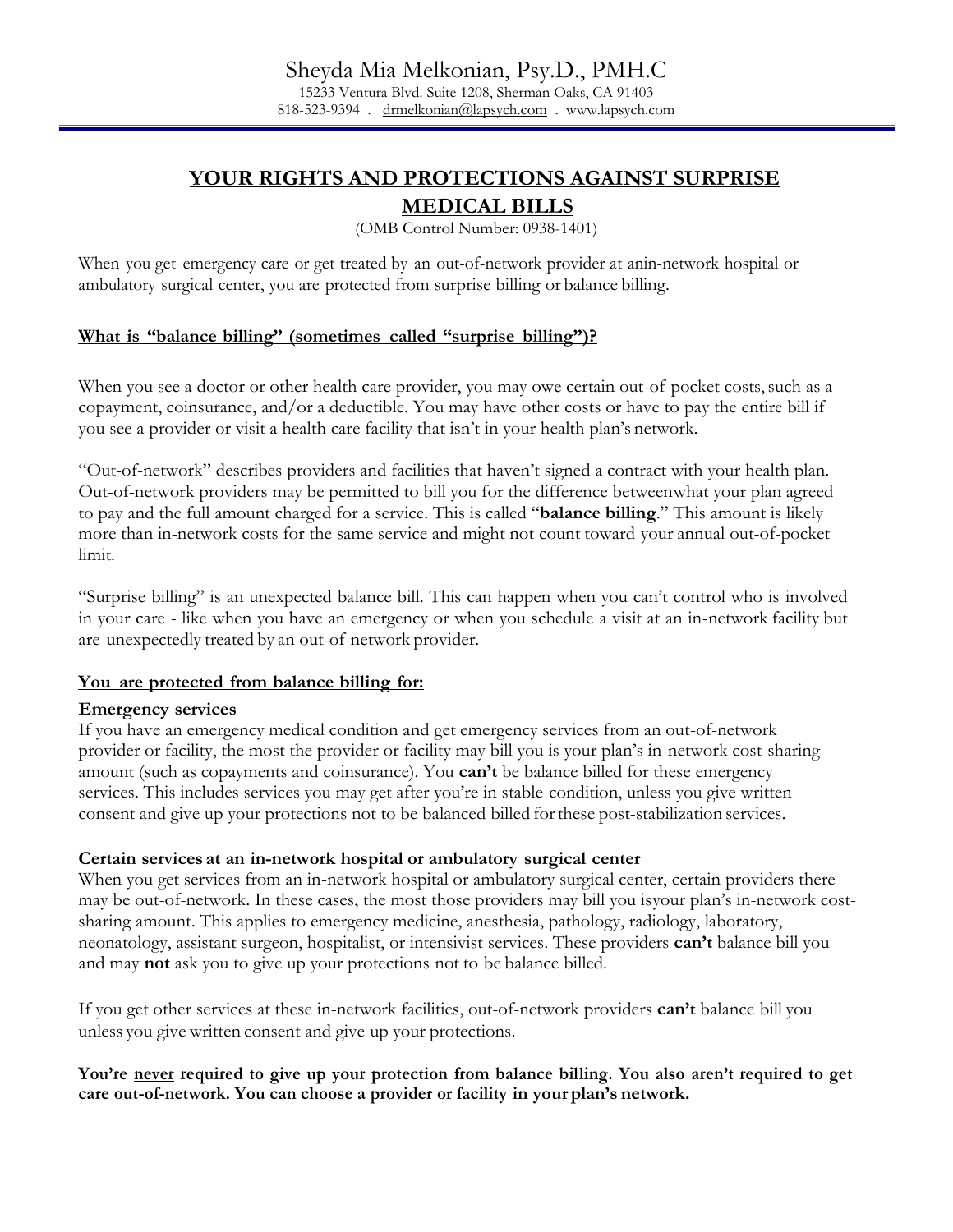15233 Ventura Blvd. Suite 1208, Sherman Oaks, CA 91403 818-523-9394 . [drmelkonian@lapsych.com](mailto:drmelkonian@lapsych.com) . www.lapsych.com

# **YOUR RIGHTS AND PROTECTIONS AGAINST SURPRISE**

# **MEDICAL BILLS**

(OMB Control Number: 0938-1401)

When you get emergency care or get treated by an out-of-network provider at anin-network hospital or ambulatory surgical center, you are protected from surprise billing or balance billing.

# **What is "balance billing" (sometimes called "surprise billing")?**

When you see a doctor or other health care provider, you may owe certain out-of-pocket costs, such as a copayment, coinsurance, and/or a deductible. You may have other costs or have to pay the entire bill if you see a provider or visit a health care facility that isn't in your health plan's network.

"Out-of-network" describes providers and facilities that haven't signed a contract with your health plan. Out-of-network providers may be permitted to bill you for the difference betweenwhat your plan agreed to pay and the full amount charged for a service. This is called "**balance billing**." This amount is likely more than in-network costs for the same service and might not count toward your annual out-of-pocket limit.

"Surprise billing" is an unexpected balance bill. This can happen when you can't control who is involved in your care - like when you have an emergency or when you schedule a visit at an in-network facility but are unexpectedly treated by an out-of-network provider.

#### **You are protected from balance billing for:**

#### **Emergency services**

If you have an emergency medical condition and get emergency services from an out-of-network provider or facility, the most the provider or facility may bill you is your plan's in-network cost-sharing amount (such as copayments and coinsurance). You **can't** be balance billed for these emergency services. This includes services you may get after you're in stable condition, unless you give written consent and give up your protections not to be balanced billed forthese post-stabilization services.

#### **Certain services at an in-network hospital or ambulatory surgical center**

When you get services from an in-network hospital or ambulatory surgical center, certain providers there may be out-of-network. In these cases, the most those providers may bill you isyour plan's in-network costsharing amount. This applies to emergency medicine, anesthesia, pathology, radiology, laboratory, neonatology, assistant surgeon, hospitalist, or intensivist services. These providers **can't** balance bill you and may **not** ask you to give up your protections not to be balance billed.

If you get other services at these in-network facilities, out-of-network providers **can't** balance bill you unless you give written consent and give up your protections.

## **You're never required to give up your protection from balance billing. You also aren't required to get care out-of-network. You can choose a provider or facility in your plan's network.**